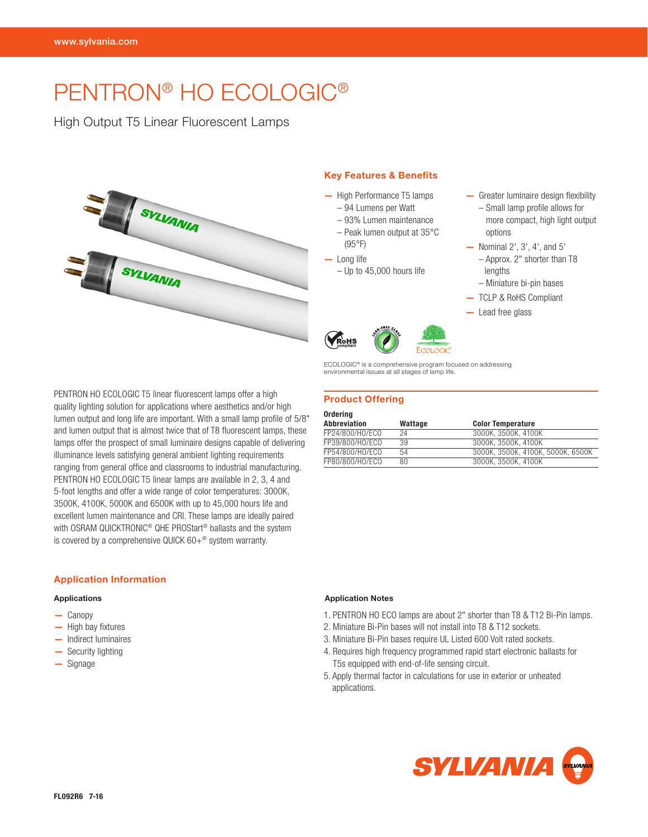# PENTRON® HO ECOLOGIC®

High Output T5 Linear Fluorescent Lamps



#### Key Features & Benefits

- High Performance T5 lamps
	- 94 Lumens per Watt
	- 93% Lumen maintenance – Peak lumen output at 35°C
	- (95°F)
- Long life
	- Up to 45,000 hours life
- Greater luminaire design flexibility – Small lamp profile allows for more compact, high light output options
- Nominal 2', 3', 4', and 5' – Approx. 2" shorter than T8 lengths
	- Miniature bi-pin bases
- TCLP & RoHS Compliant
- Lead free glass

PENTRON HO ECOLOGIC T5 linear fluorescent lamps offer a high quality lighting solution for applications where aesthetics and/or high lumen output and long life are important. With a small lamp profile of 5/8" and lumen output that is almost twice that of T8 fluorescent lamps, these lamps offer the prospect of small luminaire designs capable of delivering illuminance levels satisfying general ambient lighting requirements ranging from general office and classrooms to industrial manufacturing. PENTRON HO ECOLOGIC T5 linear lamps are available in 2, 3, 4 and 5-foot lengths and offer a wide range of color temperatures: 3000K, 3500K, 4100K, 5000K and 6500K with up to 45,000 hours life and excellent lumen maintenance and CRI. These lamps are ideally paired with OSRAM QUICKTRONIC® QHE PROStart® ballasts and the system is covered by a comprehensive QUICK 60+® system warranty.

## Application Information

#### Applications

- Canopy
- High bay fixtures
- Indirect luminaires
- Security lighting
- Signage



## Product Offering

| Ordering        |         |                                   |
|-----------------|---------|-----------------------------------|
| Abbreviation    | Wattage | <b>Color Temperature</b>          |
| FP24/800/HO/ECO | 24      | 3000K. 3500K. 4100K               |
| FP39/800/HO/ECO | 39      | 3000K. 3500K. 4100K               |
| FP54/800/HO/ECO | 54      | 3000K. 3500K. 4100K. 5000K. 6500K |
| FP80/800/HO/ECO | 80      | 3000K. 3500K. 4100K               |

#### Application Notes

- 1. PENTRON HO ECO lamps are about 2" shorter than T8 & T12 Bi-Pin lamps.
- 2. Miniature Bi-Pin bases will not install into T8 & T12 sockets.
- 3. Miniature Bi-Pin bases require UL Listed 600 Volt rated sockets.
- 4. Requires high frequency programmed rapid start electronic ballasts for T5s equipped with end-of-life sensing circuit.
- 5. Apply thermal factor in calculations for use in exterior or unheated applications.

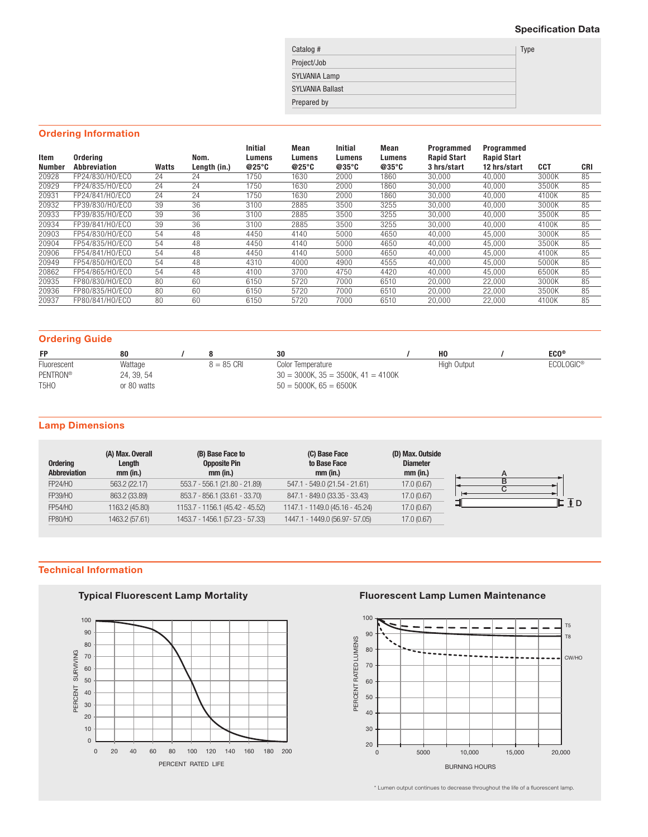## Specification Data

| Catalog #               | Type |
|-------------------------|------|
| Project/Job             |      |
| <b>SYLVANIA Lamp</b>    |      |
| <b>SYLVANIA Ballast</b> |      |
| Prepared by             |      |

## Ordering Information

| Item<br><b>Number</b> | Ordering<br>Abbreviation | Watts | Nom.<br>Length (in.) | <b>Initial</b><br>Lumens<br>@25°C | Mean<br>Lumens<br>@25°C | <b>Initial</b><br>Lumens<br>@35°C | Mean<br>Lumens<br>@35°C | <b>Programmed</b><br><b>Rapid Start</b><br>3 hrs/start | Programmed<br><b>Rapid Start</b><br>12 hrs/start | <b>CCT</b> | <b>CRI</b> |
|-----------------------|--------------------------|-------|----------------------|-----------------------------------|-------------------------|-----------------------------------|-------------------------|--------------------------------------------------------|--------------------------------------------------|------------|------------|
| 20928                 | FP24/830/HO/ECO          | 24    | 24                   | 1750                              | 1630                    | 2000                              | 1860                    | 30,000                                                 | 40.000                                           | 3000K      | 85         |
| 20929                 | FP24/835/HO/ECO          | 24    | 24                   | 1750                              | 1630                    | 2000                              | 1860                    | 30.000                                                 | 40.000                                           | 3500K      | 85         |
| 20931                 | FP24/841/HO/ECO          | 24    | 24                   | 1750                              | 1630                    | 2000                              | 1860                    | 30.000                                                 | 40.000                                           | 4100K      | 85         |
| 20932                 | FP39/830/HO/ECO          | 39    | 36                   | 3100                              | 2885                    | 3500                              | 3255                    | 30.000                                                 | 40.000                                           | 3000K      | 85         |
| 20933                 | FP39/835/HO/ECO          | 39    | 36                   | 3100                              | 2885                    | 3500                              | 3255                    | 30,000                                                 | 40,000                                           | 3500K      | 85         |
| 20934                 | FP39/841/HO/ECO          | 39    | 36                   | 3100                              | 2885                    | 3500                              | 3255                    | 30.000                                                 | 40,000                                           | 4100K      | 85         |
| 20903                 | FP54/830/HO/ECO          | 54    | 48                   | 4450                              | 4140                    | 5000                              | 4650                    | 40.000                                                 | 45.000                                           | 3000K      | 85         |
| 20904                 | FP54/835/HO/ECO          | 54    | 48                   | 4450                              | 4140                    | 5000                              | 4650                    | 40.000                                                 | 45.000                                           | 3500K      | 85         |
| 20906                 | FP54/841/HO/ECO          | 54    | 48                   | 4450                              | 4140                    | 5000                              | 4650                    | 40.000                                                 | 45.000                                           | 4100K      | 85         |
| 20949                 | FP54/850/HO/ECO          | 54    | 48                   | 4310                              | 4000                    | 4900                              | 4555                    | 40.000                                                 | 45.000                                           | 5000K      | 85         |
| 20862                 | FP54/865/HO/ECO          | 54    | 48                   | 4100                              | 3700                    | 4750                              | 4420                    | 40.000                                                 | 45.000                                           | 6500K      | 85         |
| 20935                 | FP80/830/HO/ECO          | 80    | 60                   | 6150                              | 5720                    | 7000                              | 6510                    | 20.000                                                 | 22,000                                           | 3000K      | 85         |
| 20936                 | FP80/835/HO/ECO          | 80    | 60                   | 6150                              | 5720                    | 7000                              | 6510                    | 20.000                                                 | 22,000                                           | 3500K      | 85         |
| 20937                 | FP80/841/HO/ECO          | 80    | 60                   | 6150                              | 5720                    | 7000                              | 6510                    | 20.000                                                 | 22,000                                           | 4100K      | 85         |

## Ordering Guide

| <b>FP</b>                     | 80          |                      | 30                                          | H <sub>0</sub> | $ECO^{\circ}$         |
|-------------------------------|-------------|----------------------|---------------------------------------------|----------------|-----------------------|
| Fluorescent                   | Wattage     | $8 = 85 \text{ CRI}$ | Color Temperature                           | High Output    | ECOLOGIC <sup>®</sup> |
| PENTRON®                      | 24, 39, 54  |                      | $30 = 3000$ K, $35 = 3500$ K, $41 = 4100$ K |                |                       |
| T <sub>5</sub> H <sub>O</sub> | or 80 watts |                      | $50 = 5000$ K, 65 = 6500K                   |                |                       |

## Lamp Dimensions

| <b>Ordering</b><br>Abbreviation | (A) Max. Overall<br>Length<br>mm (in.) | (B) Base Face to<br><b>Opposite Pin</b><br>mm (in.) | (C) Base Face<br>to Base Face<br>$mm$ (in.) | (D) Max. Outside<br><b>Diameter</b><br>$mm$ (in.) |
|---------------------------------|----------------------------------------|-----------------------------------------------------|---------------------------------------------|---------------------------------------------------|
| <b>FP24/HO</b>                  | 563.2 (22.17)                          | 553.7 - 556.1 (21.80 - 21.89)                       | 547.1 - 549.0 (21.54 - 21.61)               | 17.0 (0.67)                                       |
| <b>FP39/HO</b>                  | 863.2 (33.89)                          | 853.7 - 856.1 (33.61 - 33.70)                       | 847.1 - 849.0 (33.35 - 33.43)               | 17.0 (0.67)                                       |
| <b>FP54/HO</b>                  | 1163.2 (45.80)                         | 1153.7 - 1156.1 (45.42 - 45.52)                     | 1147.1 - 1149.0 (45.16 - 45.24)             | 17.0 (0.67)                                       |
| <b>FP80/HO</b>                  | 1463.2 (57.61)                         | 1453.7 - 1456.1 (57.23 - 57.33)                     | 1447.1 - 1449.0 (56.97 - 57.05)             | 17.0 (0.67)                                       |

## Technical Information

# Typical Fluorescent Lamp Mortality



## Fluorescent Lamp Lumen Maintenance



\* Lumen output continues to decrease throughout the life of a fluorescent lamp.